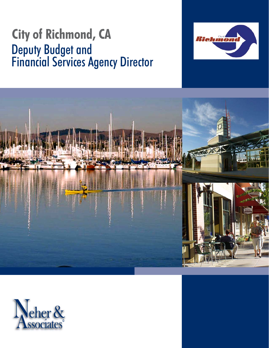# **City of Richmond, CA** Deputy Budget and Financial Services Agency Director





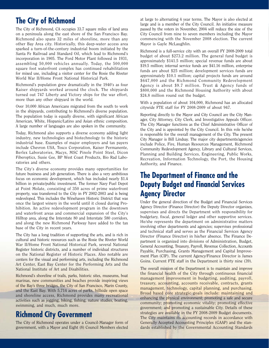## **The City of Richmond**

The City of Richmond, CA occupies 33.7 square miles of land area on a peninsula along the east shore of the San Francisco Bay. Richmond also spans 32 miles of shoreline, more than any other Bay Area city. Historically, this deep-water access area sparked a turn-of-the-century industrial boom initiated by the Santa Fe Railroad and Standard Oil, which lead to Richmond's incorporation in 1905. The Ford Motor Plant followed in 1931, assembling 50,000 vehicles annually. Today, the 500,000 square foot waterfront complex has continued rehabilitation for mixed use, including a visitor center for the Rosie the Riveter World War II/Home Front National Historical Park.

Richmond's population grew dramatically in the 1940's as four Kaiser shipyards worked around the clock. The shipyards turned out 747 Liberty and Victory ships for the war effort, more than any other shipyard in the world.

Over 10,000 African Americans migrated from the south to work in the shipyards, contributing to Richmond's diverse population. The population today is equally diverse, with significant African American, White, Hispanic/Latino and Asian ethnic composition. A large number of languages are also spoken in the community.

Today, Richmond also supports a diverse economy adding light industry, new technologies and biotechnology to the historic industrial base. Examples of major employers and tax payers include Chevron USA, Tosco Corporation, Kaiser Permanente, Berlex Laboratories, Macys, MSC Pinole Point Steel, Dicon Fiberoptics, Susie Gee, BP West Coast Products, Bio Rad Laboratories and others.

The City's diverse economy provides many opportunities for future business and job generation. There is also a very ambitious focus on economic development, which has included nearly \$1.4 billion in private/public investment. The former Navy Fuel Depot at Point Molate, consisting of 350 acres of prime waterfront property, was transferred to the City in FY 2002-2003 and is being redeveloped. This includes the Winehaven Historic District that was once the largest winery in the world until it closed during Prohibition. An active redevelopment program in the downtown and waterfront areas and commercial expansion of the City's Hilltop area, along the Interstate 80 and Interstate 580 corridors, and along the new Richmond Parkway have added to the tax base of the City in recent years.

The City has a long tradition of supporting the arts, and is rich in cultural and historic resources such as the Rosie the Riveter World War II/Home Front National Historical Park, several National Register historic districts, and a number of individual structures on the National Register of Historic Places. Also notable are centers for the visual and performing arts, including the Richmond Art Center, East Bay Center for the Performing Arts and the National Institute of Art and Disabilities.

Richmond's shoreline of trails, parks, historic sites, museums, boat marinas, new communities and beaches provide inspiring views of the Bay's three bridges, the City of San Francisco, Marin County, and the East Bay. With 5,714 acres of parks, hillside open space and shoreline access, Richmond provides many recreational activities such as jogging, biking, fishing, nature studies, boating, swimming, and much, much more.

### **Richmond City Government**

The City of Richmond operates under a Council-Manager form of government, with a Mayor and Eight (8) Council Members elected

at large to alternating 4 year terms. The Mayor is also elected at large and is a member of the City Council. An initiative measure passed by the voters in November, 2004 will reduce the size of the City Council from nine to seven members including the Mayor commencing with the November 2008 election. The current Mayor is Gayle McLaughlin.

Richmond is a full-service city with an overall FY 2008-2009 total budget of about \$273.2 million. The general fund budget is approximately \$141.5 million; special revenue funds are about \$19.5 million; internal service funds are \$41.16 million, enterprise funds are about \$25 million; development services funds are approximately \$10.1 million; capital projects funds are around \$647,000 and the Richmond Community Redevelopment Agency is about \$9.7 million. Trust & Agency funds of \$800,000 and the Richmond Housing Authority with about \$24.8 million round out the budget.

With a population of about 104,000, Richmond has an allocated citywide FTE staff for FY 2008-2009 of about 947.

Reporting directly to the Mayor and City Council are the City Manager, City Attorney, City Clerk, and Investigative Appeals Officer. The City Manager functions as the Chief Administrative Officer of the City and is appointed by the City Council. In this role he/she is responsible for the overall management of the City. The present City Manager is Bill Lindsay. The major city departments/agencies include Police, Fire, Human Resources Management, Richmond Community Redevelopment Agency, Library and Cultural Services, Planning and Building Services, Engineering, Public Works, Recreation, Information Technology, the Port, the Housing Authority, and Finance.

### **The Department of Finance and the Deputy Budget and Financial Services Agency Director**

Under the general direction of the Budget and Financial Services Agency Director (Finance Director) the Deputy Director organizes, supervises and directs the Department with responsibility for budgetary, fiscal, general ledger and other supportive services. He/she represents the department on administrative matters involving other departments and agencies; supervises professional and technical staff and serves as the Financial Services Agency Director (Finance Director) in his/her absence. The Finance Department is organized into divisions of Administration, Budget, General Accounting, Treasury, Payroll, Revenue Collection, Accounts Payable, Purchasing, Grants Management and Capital Improvement Plan (CIP). The current Agency/Finance Director is James Goins. Current FTE staff in the Department is thirty nine (39).

The overall mission of the Department is to maintain and improve the financial health of the City through continuous financial management improvement in budgeting, auditing, payroll, treasury, accounting, accounts receivable, contracts, grants management, technology, capital planning, and purchasing. Broad based core strategic goals include: maintaining and enhancing the physical environment; promoting a safe and secure community; promoting economic vitality; promoting effective government; and promoting a sustainable City. Details of these strategies are available in the FY 2008-2009 Budget documents. The City maintains its accounting records in accordance with Generally Accepted Accounting Principles (GAAP) and the standards established by the Governmental Accounting Standards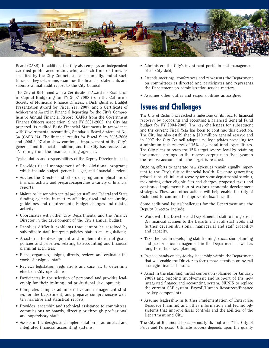

Board (GASB). In addition, the City also employs an independent certified public accountant, who, at such time or times as specified by the City Council, at least annually, and at such times as they determine, examines the financial statements and submits a final audit report to the City Council.

The City of Richmond won a Certificate of Award for Excellence in Capital Budgeting for FY 2007-2008 from the California Society of Municipal Finance Officers, a Distinguished Budget Presentation Award for Fiscal Year 2007, and a Certificate of Achievement Award in Financial Reporting for the City's Comprehensive Annual Financial Report (CAFR) from the Government Finance Officers Association. Since FY 2001-2002, the City has prepared its audited Basic Financial Statements in accordance with Governmental Accounting Standards Board Statement No. 34 (GASB 34). The financial results for Fiscal Years 2005-2006 and 2006-2007 also show continued improvement of the City's general fund financial condition, and the City has received an "A" rating from the financial rating agencies.

Typical duties and responsibilities of the Deputy Director include:

- Provides fiscal management of the divisional programs which include budget, general ledger, and financial services;
- Advises the Director and others on program implications of financial activity and prepares/supervises a variety of financial reports;
- Maintains liaison with capital project staff, and Federal and State funding agencies in matters affecting fiscal and accounting guidelines and requirements, budget changes and related activity;
- Coordinates with other City Departments, and the Finance Director in the development of the City's annual budget;
- Resolves difficult problems that cannot be resolved by subordinate staff; interprets policies, statues and regulations;
- Assists in the development and implementation of goals, policies and priorities relating to accounting and financial planning activities;
- Plans, organizes, assigns, directs, reviews and evaluates the work of assigned staff;
- Reviews legislation, regulations and case law to determine effect on City operations;
- Participates in the selection of personnel and provides leadership for their training and professional development;
- Completes complex administrative and management studies for the Department, and prepares comprehensive written narrative and statistical reports;
- Provides leadership and technical assistance to committees, commissions or boards, directly or through professional and supervisory staff;
- Assists in the designs and implementation of automated and integrated financial accounting systems;
- Administers the City's investment portfolio and management of all City debt;
- Attends meetings, conferences and represents the Department on committees as directed and participates and represents the Department on administrative service matters;
- Assumes other duties and responsibilities as assigned.

# **Issues and Challenges**

The City of Richmond reached a milestone on its road to financial recovery by proposing and accepting a balanced General Fund budget for FY 2004-2005. The key challenges for subsequent and the current Fiscal Year has been to continue this direction. The City has also established a \$10 million general reserve and in 2007 the City Council adopted policy updates providing for a minimum cash reserve of 15% of general fund expenditures. The City plans to reach the 15% target reserve level by retaining investment earnings on the reserve corpus each fiscal year in the reserve account until the target is reached.

Ongoing efforts to generate new revenues remain equally important to the City's future financial health. Revenue generating priorities include full cost recovery for some departmental services, maximizing other eligible fees and charges, proposed taxes and continued implementation of various economic development strategies. These and other actions will help enable the City of Richmond to continue to improve its fiscal health.

Some additional issues/challenges for the Department and the Deputy Director include:

- Work with the Director and Departmental staff to bring stronger financial acumen to the Department at all staff levels and further develop divisional, managerial and staff capability and capacity.
- Take the lead in developing staff training, succession planning and performance management in the Department as well as long term business planning.
- Provide hands-on day-to-day leadership within the Department that will enable the Director to focus more attention on overall strategic financial issues.
- Assist in the planning, initial conversion (planned for January, 2009) and ongoing involvement and support of the new integrated finance and accounting system, MUNIS to replace the current SAP system. Payroll/Human Resources/Finance are key components.
- Assume leadership in further implementation of Enterprise Resource Planning and other information and technology systems that improve fiscal controls and the abilities of the Department and City.

The City of Richmond takes seriously its motto of "The City of Pride and Purpose." Ultimate success depends upon the quality